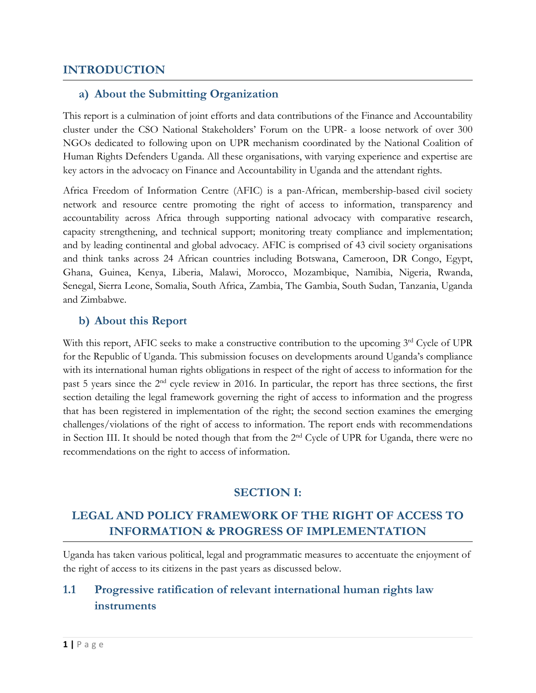# **INTRODUCTION**

## **a) About the Submitting Organization**

This report is <sup>a</sup> culmination of joint efforts and data contributions of the Finance and Accountability cluster under the CSO National Stakeholders' Forum on the UPR- <sup>a</sup> loose network of over 300 NGOs dedicated to following upon on UPR mechanism coordinated by the National Coalition of Human Rights Defenders Uganda. All these organisations, with varying experience and expertise are key actors in the advocacy on Finance and Accountability in Uganda and the attendant rights.

Africa Freedom of Information Centre (AFIC) is <sup>a</sup> pan-African, membership-based civil society network and resource centre promoting the right of access to information, transparency and accountability across Africa through supporting national advocacy with comparative research, capacity strengthening, and technical support; monitoring treaty compliance and implementation; and by leading continental and global advocacy. AFIC is comprised of 43 civil society organisations and think tanks across 24 African countries including Botswana, Cameroon, DR Congo, Egypt, Ghana, Guinea, Kenya, Liberia, Malawi, Morocco, Mozambique, Namibia, Nigeria, Rwanda, Senegal, Sierra Leone, Somalia, South Africa, Zambia, The Gambia, South Sudan, Tanzania, Uganda and Zimbabwe.

## **b) About this Report**

With this report, AFIC seeks to make a constructive contribution to the upcoming 3<sup>rd</sup> Cycle of UPR for the Republic of Uganda. This submission focuses on developments around Uganda'<sup>s</sup> compliance with its international human rights obligations in respect of the right of access to information for the past 5 years since the 2<sup>nd</sup> cycle review in 2016. In particular, the report has three sections, the first section detailing the legal framework governing the right of access to information and the progress that has been registered in implementation of the right; the second section examines the emerging challenges/violations of the right of access to information. The report ends with recommendations in Section III. It should be noted though that from the 2<sup>nd</sup> Cycle of UPR for Uganda, there were no recommendations on the right to access of information.

## **SECTION I:**

# **LEGAL AND POLICY FRAMEWORK OF THE RIGHT OF ACCESS TO INFORMATION & PROGRESS OF IMPLEMENTATION**

Uganda has taken various political, legal and programmatic measures to accentuate the enjoyment of the right of access to its citizens in the past years as discussed below.

# **1.1 Progressive ratification of relevant international human rights law instruments**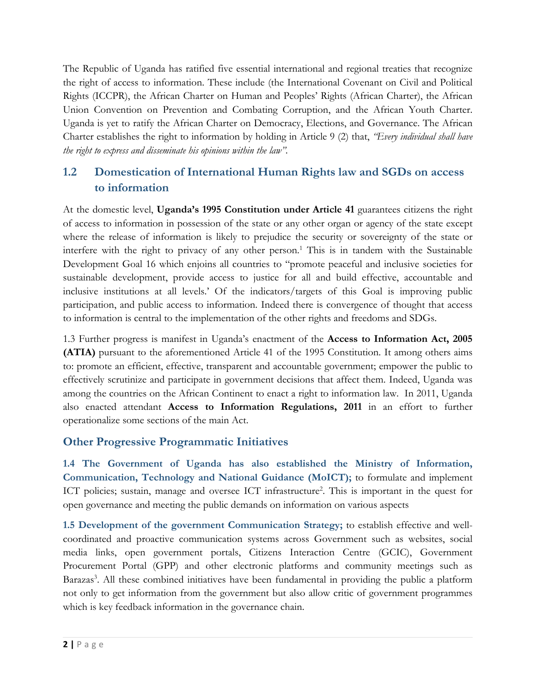The Republic of Uganda has ratified five essential international and regional treaties that recognize the right of access to information. These include (the International Covenant on Civil and Political Rights (ICCPR), the African Charter on Human and Peoples' Rights (African Charter), the African Union Convention on Prevention and Combating Corruption, and the African Youth Charter. Uganda is ye<sup>t</sup> to ratify the African Charter on Democracy, Elections, and Governance. The African Charter establishes the right to information by holding in Article 9 (2) that, *"Every individual shall have the right to express and disseminate his opinions within the law".*

# **1.2 Domestication of International Human Rights law and SGDs on access to information**

At the domestic level, **Uganda'<sup>s</sup> 1995 Constitution under Article 41** guarantees citizens the right of access to information in possession of the state or any other organ or agency of the state except where the release of information is likely to prejudice the security or sovereignty of the state or interfere with the right to privacy of any other person. 1 This is in tandem with the Sustainable Development Goal 16 which enjoins all countries to "promote peaceful and inclusive societies for sustainable development, provide access to justice for all and build effective, accountable and inclusive institutions at all levels.' Of the indicators/targets of this Goal is improving public participation, and public access to information. Indeed there is convergence of thought that access to information is central to the implementation of the other rights and freedoms and SDGs.

1.3 Further progress is manifest in Uganda'<sup>s</sup> enactment of the **Access to Information Act, 2005 (ATIA)** pursuant to the aforementioned Article 41 of the 1995 Constitution. It among others aims to: promote an efficient, effective, transparent and accountable government; empower the public to effectively scrutinize and participate in government decisions that affect them. Indeed, Uganda was among the countries on the African Continent to enact <sup>a</sup> right to information law. In 2011, Uganda also enacted attendant **Access to Information Regulations, 2011** in an effort to further operationalize some sections of the main Act.

# **Other Progressive Programmatic Initiatives**

**1.4 The Government of Uganda has also established the Ministry of Information, Communication, Technology and National Guidance (MoICT);** to formulate and implement ICT policies; sustain, manage and oversee ICT infrastructure 2 . This is important in the ques<sup>t</sup> for open governance and meeting the public demands on information on various aspects

**1.5 Development of the government Communication Strategy;** to establish effective and wellcoordinated and proactive communication systems across Government such as websites, social media links, open government portals, Citizens Interaction Centre (GCIC), Government Procurement Portal (GPP) and other electronic platforms and community meetings such as Barazas 3 . All these combined initiatives have been fundamental in providing the public <sup>a</sup> platform not only to ge<sup>t</sup> information from the government but also allow critic of government programmes which is key feedback information in the governance chain.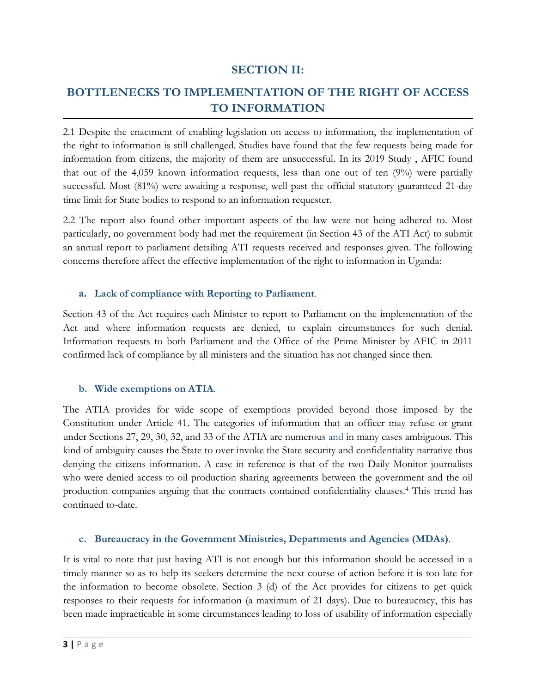# **SECTION II:**

# **BOTTLENECKS TO IMPLEMENTATION OF THE RIGHT OF ACCESS TO INFORMATION**

2.1 Despite the enactment of enabling legislation on access to information, the implementation of the right to information is still challenged. Studies have found that the few requests being made for information from citizens, the majority of them are unsuccessful. In its 2019 Study , AFIC found that out of the 4,059 known information requests, less than one out of ten (9%) were partially successful. Most (81%) were awaiting a response, well past the official statutory guaranteed 21-day time limit for State bodies to respond to an information requester.

2.2 The report also found other important aspects of the law were not being adhered to. Most particularly, no government body had met the requirement (in Section 43 of the ATI Act) to submit an annual report to parliament detailing ATI requests received and responses given. The following concerns therefore affect the effective implementation of the right to information in Uganda:

#### **a. Lack of compliance with Reporting to Parliament**.

Section 43 of the Act requires each Minister to report to Parliament on the implementation of the Act and where information requests are denied, to explain circumstances for such denial. Information requests to both Parliament and the Office of the Prime Minister by AFIC in 2011 confirmed lack of compliance by all ministers and the situation has not changed since then.

#### **b. Wide exemptions on ATIA**.

The ATIA provides for wide scope of exemptions provided beyond those imposed by the Constitution under Article 41. The categories of information that an officer may refuse or grant under Sections 27, 29, 30, 32, and 33 of the ATIA are numerous and in many cases ambiguous. This kind of ambiguity causes the State to over invoke the State security and confidentiality narrative thus denying the citizens information. A case in reference is that of the two Daily Monitor journalists who were denied access to oil production sharing agreements between the government and the oil production companies arguing that the contracts contained confidentiality clauses. 4 This trend has continued to-date.

## **c. Bureaucracy in the Government Ministries, Departments and Agencies (MDAs)**.

It is vital to note that just having ATI is not enough but this information should be accessed in <sup>a</sup> timely manner so as to help its seekers determine the next course of action before it is too late for the information to become obsolete. Section 3 (d) of the Act provides for citizens to ge<sup>t</sup> quick responses to their requests for information (a maximum of <sup>21</sup> days). Due to bureaucracy, this has been made impracticable in some circumstances leading to loss of usability of information especially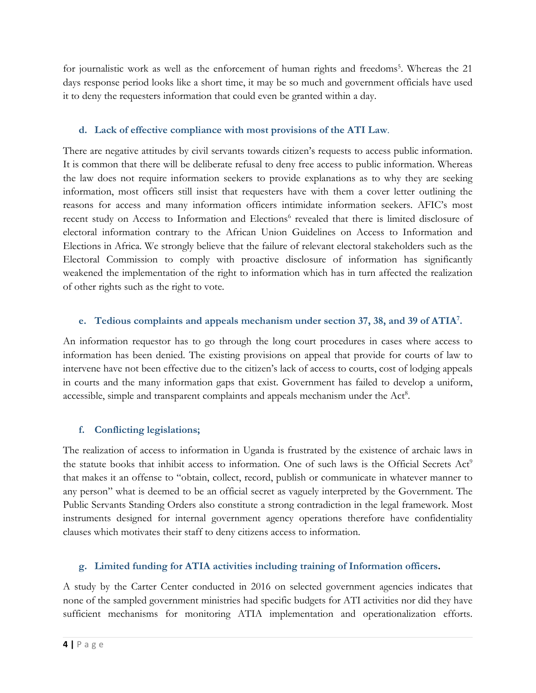for journalistic work as well as the enforcement of human rights and freedoms 5 . Whereas the 21 days response period looks like <sup>a</sup> short time, it may be so much and government officials have used it to deny the requesters information that could even be granted within <sup>a</sup> day.

## **d. Lack of effective compliance with most provisions of the ATI Law**.

There are negative attitudes by civil servants towards citizen'<sup>s</sup> requests to access public information. It is common that there will be deliberate refusal to deny free access to public information. Whereas the law does not require information seekers to provide explanations as to why they are seeking information, most officers still insist that requesters have with them <sup>a</sup> cover letter outlining the reasons for access and many information officers intimidate information seekers. AFIC'<sup>s</sup> most recent study on Access to Information and Elections 6 revealed that there is limited disclosure of electoral information contrary to the African Union Guidelines on Access to Information and Elections in Africa. We strongly believe that the failure of relevant electoral stakeholders such as the Electoral Commission to comply with proactive disclosure of information has significantly weakened the implementation of the right to information which has in turn affected the realization of other rights such as the right to vote.

# **e. Tedious complaints and appeals mechanism under section 37, 38, and <sup>39</sup> of ATIA<sup>7</sup> .**

An information requestor has to go through the long court procedures in cases where access to information has been denied. The existing provisions on appeal that provide for courts of law to intervene have not been effective due to the citizen'<sup>s</sup> lack of access to courts, cost of lodging appeals in courts and the many information gaps that exist. Government has failed to develop <sup>a</sup> uniform, accessible, simple and transparent complaints and appeals mechanism under the Act<sup>8</sup>.

## **f. Conflicting legislations;**

The realization of access to information in Uganda is frustrated by the existence of archaic laws in the statute books that inhibit access to information. One of such laws is the Official Secrets Act<sup>9</sup> that makes it an offense to "obtain, collect, record, publish or communicate in whatever manner to any person" what is deemed to be an official secret as vaguely interpreted by the Government. The Public Servants Standing Orders also constitute <sup>a</sup> strong contradiction in the legal framework. Most instruments designed for internal government agency operations therefore have confidentiality clauses which motivates their staff to deny citizens access to information.

# **g. Limited funding for ATIA activities including training of Information officers.**

A study by the Carter Center conducted in 2016 on selected government agencies indicates that none of the sampled government ministries had specific budgets for ATI activities nor did they have sufficient mechanisms for monitoring ATIA implementation and operationalization efforts.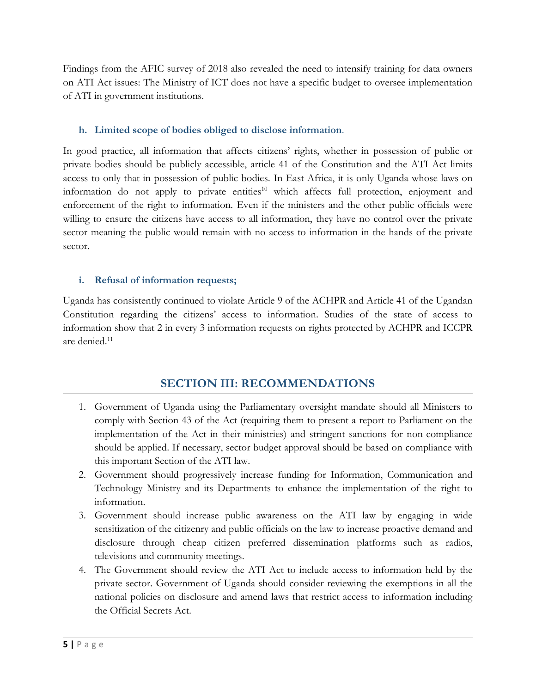Findings from the AFIC survey of 2018 also revealed the need to intensify training for data owners on ATI Act issues: The Ministry of ICT does not have <sup>a</sup> specific budget to oversee implementation of ATI in government institutions.

## **h. Limited scope of bodies obliged to disclose information**.

In good practice, all information that affects citizens' rights, whether in possession of public or private bodies should be publicly accessible, article 41 of the Constitution and the ATI Act limits access to only that in possession of public bodies. In East Africa, it is only Uganda whose laws on information do not apply to private entities<sup>10</sup> which affects full protection, enjoyment and enforcement of the right to information. Even if the ministers and the other public officials were willing to ensure the citizens have access to all information, they have no control over the private sector meaning the public would remain with no access to information in the hands of the private sector.

#### **i. Refusal of information requests;**

Uganda has consistently continued to violate Article 9 of the ACHPR and Article 41 of the Ugandan Constitution regarding the citizens' access to information. Studies of the state of access to information show that <sup>2</sup> in every 3 information requests on rights protected by ACHPR and ICCPR are denied.<sup>11</sup>

# **SECTION III: RECOMMENDATIONS**

- 1. Government of Uganda using the Parliamentary oversight mandate should all Ministers to comply with Section 43 of the Act (requiring them to present <sup>a</sup> report to Parliament on the implementation of the Act in their ministries) and stringent sanctions for non-compliance should be applied. If necessary, sector budget approval should be based on compliance with this important Section of the ATI law.
- 2. Government should progressively increase funding for Information, Communication and Technology Ministry and its Departments to enhance the implementation of the right to information.
- 3. Government should increase public awareness on the ATI law by engaging in wide sensitization of the citizenry and public officials on the law to increase proactive demand and disclosure through cheap citizen preferred dissemination platforms such as radios, televisions and community meetings.
- 4. The Government should review the ATI Act to include access to information held by the private sector. Government of Uganda should consider reviewing the exemptions in all the national policies on disclosure and amend laws that restrict access to information including the Official Secrets Act.